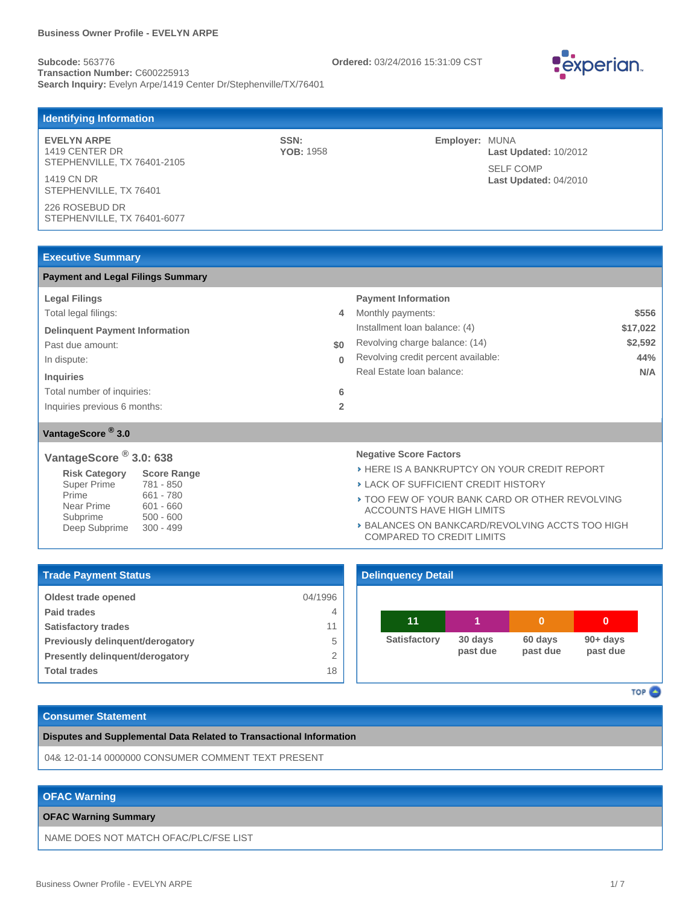**Subcode:** 563776 **Ordered:** 03/24/2016 15:31:09 CST **Transaction Number:** C600225913 Search Inquiry: Evelyn Arpe/1419 Center Dr/Stephenville/TX/76401



| <b>Identifying Information</b>                |                          |                                                |  |
|-----------------------------------------------|--------------------------|------------------------------------------------|--|
| <b>EVELYN ARPE</b><br>1419 CENTER DR          | SSN:<br><b>YOB: 1958</b> | <b>Employer: MUNA</b><br>Last Updated: 10/2012 |  |
| STEPHENVILLE, TX 76401-2105<br>1419 CN DR     |                          | <b>SELF COMP</b><br>Last Updated: 04/2010      |  |
| STEPHENVILLE, TX 76401                        |                          |                                                |  |
| 226 ROSEBUD DR<br>STEPHENVILLE, TX 76401-6077 |                          |                                                |  |

### **Executive Summary**

| <b>Payment and Legal Filings Summary</b> |                |                                     |          |
|------------------------------------------|----------------|-------------------------------------|----------|
| <b>Legal Filings</b>                     |                | <b>Payment Information</b>          |          |
| Total legal filings:                     | 4              | Monthly payments:                   | \$556    |
| <b>Delinquent Payment Information</b>    |                | Installment Ioan balance: (4)       | \$17,022 |
| Past due amount:                         | \$0            | Revolving charge balance: (14)      | \$2,592  |
| In dispute:                              | $\bf{0}$       | Revolving credit percent available: | 44%      |
| <b>Inquiries</b>                         |                | Real Estate Ioan balance:           | N/A      |
| Total number of inquiries:               | 6              |                                     |          |
| Inquiries previous 6 months:             | $\overline{2}$ |                                     |          |
|                                          |                |                                     |          |
| VantageScore <sup>®</sup> 3.0            |                |                                     |          |

# **VantageScore 3.0: 638 ®**

| <b>Risk Category</b> | <b>Score Range</b> |
|----------------------|--------------------|
| <b>Super Prime</b>   | 781 - 850          |
| Prime                | 661 - 780          |
| Near Prime           | $601 - 660$        |
| Subprime             | $500 - 600$        |
| Deep Subprime        | $300 - 499$        |
|                      |                    |

#### **Negative Score Factors**

**> HERE IS A BANKRUPTCY ON YOUR CREDIT REPORT** 

LACK OF SUFFICIENT CREDIT HISTORY

- TOO FEW OF YOUR BANK CARD OR OTHER REVOLVING ACCOUNTS HAVE HIGH LIMITS
- **BALANCES ON BANKCARD/REVOLVING ACCTS TOO HIGH** COMPARED TO CREDIT LIMITS

| <b>Trade Payment Status</b>            |         |
|----------------------------------------|---------|
| <b>Oldest trade opened</b>             | 04/1996 |
| <b>Paid trades</b>                     | 4       |
| <b>Satisfactory trades</b>             | 11      |
| Previously delinguent/derogatory       | 5       |
| <b>Presently delinguent/derogatory</b> | 2       |
| <b>Total trades</b>                    | 18      |

### **90+ days past due 60 days past due 30 days past due Satisfactory 11 1 0 0 Delinquency Detail**

TOP<sup>2</sup>

# **Consumer Statement**

**Disputes and Supplemental Data Related to Transactional Information**

04& 12-01-14 0000000 CONSUMER COMMENT TEXT PRESENT

### **OFAC Warning**

#### **OFAC Warning Summary**

NAME DOES NOT MATCH OFAC/PLC/FSE LIST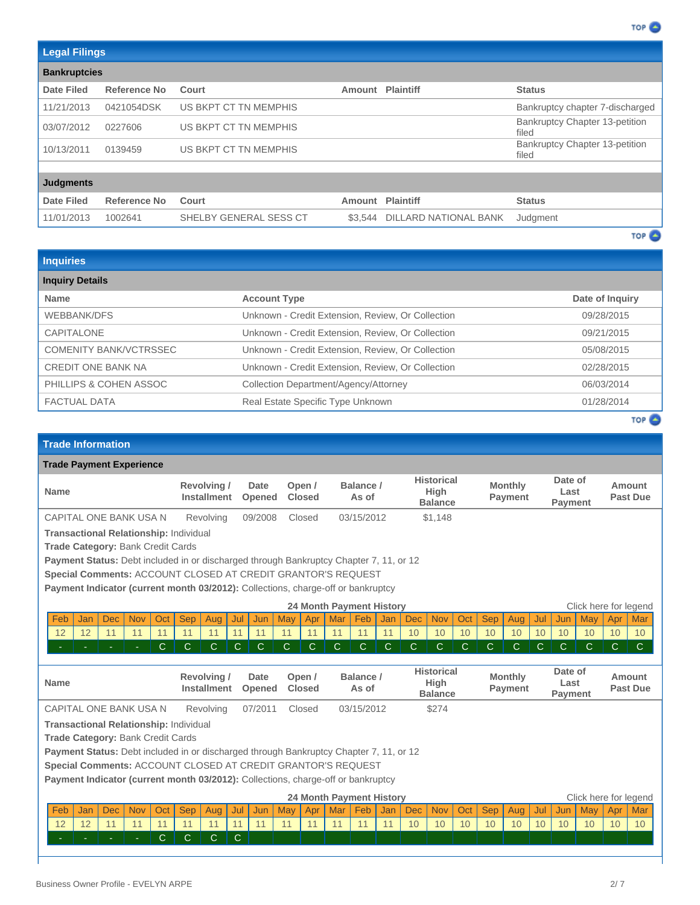| <b>Legal Filings</b> |              |                        |         |                              |                                                |
|----------------------|--------------|------------------------|---------|------------------------------|------------------------------------------------|
| <b>Bankruptcies</b>  |              |                        |         |                              |                                                |
| <b>Date Filed</b>    | Reference No | Court                  | Amount  | <b>Plaintiff</b>             | <b>Status</b>                                  |
| 11/21/2013           | 0421054DSK   | US BKPT CT TN MEMPHIS  |         |                              | Bankruptcy chapter 7-discharged                |
| 03/07/2012           | 0227606      | US BKPT CT TN MEMPHIS  |         |                              | Bankruptcy Chapter 13-petition<br>filed        |
| 10/13/2011           | 0139459      | US BKPT CT TN MEMPHIS  |         |                              | <b>Bankruptcy Chapter 13-petition</b><br>filed |
|                      |              |                        |         |                              |                                                |
| <b>Judgments</b>     |              |                        |         |                              |                                                |
| Date Filed           | Reference No | Court                  | Amount  | <b>Plaintiff</b>             | <b>Status</b>                                  |
| 11/01/2013           | 1002641      | SHELBY GENERAL SESS CT | \$3.544 | <b>DILLARD NATIONAL BANK</b> | Judgment                                       |
|                      |              |                        |         |                              | TOP $\bullet$                                  |

TOP<sup>2</sup>

| <b>Account Type</b>                               | Date of Inquiry |
|---------------------------------------------------|-----------------|
| Unknown - Credit Extension, Review, Or Collection | 09/28/2015      |
| Unknown - Credit Extension, Review, Or Collection | 09/21/2015      |
| Unknown - Credit Extension, Review, Or Collection | 05/08/2015      |
| Unknown - Credit Extension, Review, Or Collection | 02/28/2015      |
| Collection Department/Agency/Attorney             | 06/03/2014      |
| Real Estate Specific Type Unknown                 | 01/28/2014      |
|                                                   |                 |

TOP<sup>O</sup>

# **Trade Information**

| <b>Trade Payment Experience</b>                                                               |     |            |            |     |              |                                   |              |                       |              |                         |     |                                 |              |              |                                                    |              |              |                           |              |                                   |              |              |                       |
|-----------------------------------------------------------------------------------------------|-----|------------|------------|-----|--------------|-----------------------------------|--------------|-----------------------|--------------|-------------------------|-----|---------------------------------|--------------|--------------|----------------------------------------------------|--------------|--------------|---------------------------|--------------|-----------------------------------|--------------|--------------|-----------------------|
| <b>Name</b>                                                                                   |     |            |            |     |              | Revolving /<br><b>Installment</b> |              | Date<br>Opened        |              | Open /<br><b>Closed</b> |     | Balance /<br>As of              |              |              | <b>Historical</b><br><b>High</b><br><b>Balance</b> |              |              | <b>Monthly</b><br>Payment |              | Date of<br>Last<br><b>Payment</b> |              |              | Amount<br>Past Due    |
| CAPITAL ONE BANK USA N                                                                        |     |            |            |     |              | Revolving                         |              | 09/2008               |              | Closed                  |     | 03/15/2012                      |              |              | \$1,148                                            |              |              |                           |              |                                   |              |              |                       |
| <b>Transactional Relationship: Individual</b>                                                 |     |            |            |     |              |                                   |              |                       |              |                         |     |                                 |              |              |                                                    |              |              |                           |              |                                   |              |              |                       |
| Trade Category: Bank Credit Cards                                                             |     |            |            |     |              |                                   |              |                       |              |                         |     |                                 |              |              |                                                    |              |              |                           |              |                                   |              |              |                       |
| <b>Payment Status:</b> Debt included in or discharged through Bankruptcy Chapter 7, 11, or 12 |     |            |            |     |              |                                   |              |                       |              |                         |     |                                 |              |              |                                                    |              |              |                           |              |                                   |              |              |                       |
| Special Comments: ACCOUNT CLOSED AT CREDIT GRANTOR'S REQUEST                                  |     |            |            |     |              |                                   |              |                       |              |                         |     |                                 |              |              |                                                    |              |              |                           |              |                                   |              |              |                       |
| Payment Indicator (current month 03/2012): Collections, charge-off or bankruptcy              |     |            |            |     |              |                                   |              |                       |              |                         |     |                                 |              |              |                                                    |              |              |                           |              |                                   |              |              |                       |
|                                                                                               |     |            |            |     |              |                                   |              |                       |              |                         |     | <b>24 Month Payment History</b> |              |              |                                                    |              |              |                           |              |                                   |              |              | Click here for legend |
| Feb                                                                                           | Jan | <b>Dec</b> | <b>Nov</b> | Oct | <b>Sep</b>   | <b>Aug</b>                        | Jul          | Jun                   | May          | Apr                     | Mar | Feb                             | Jan          | <b>Dec</b>   | <b>Nov</b>                                         | Oct          | <b>Sep</b>   | Aug                       | Jul          | Jun                               | May          | Apr          | Mar                   |
| 12                                                                                            | 12  | 11         | 11         | 11  | 11           | 11                                | 11           | 11                    | 11           | 11                      | 11  | 11                              | 11           | 10           | 10                                                 | 10           | 10           | 10 <sup>°</sup>           | 10           | 10                                | 10           | 10           | 10                    |
|                                                                                               |     |            | $\sim$     | C   | $\mathsf{C}$ | $\mathsf{C}$                      | $\mathsf{C}$ | $\mathsf{C}$          | $\mathsf{C}$ | C                       | C.  | $\mathsf{C}$                    | $\mathsf{C}$ | $\mathsf{C}$ | $\mathsf{C}$                                       | $\mathsf{C}$ | $\mathsf{C}$ | $\mathbf C$               | $\mathsf{C}$ | C.                                | $\mathsf{C}$ | $\mathsf{C}$ | $\mathsf{C}$          |
|                                                                                               |     |            |            |     |              |                                   |              |                       |              |                         |     |                                 |              |              |                                                    |              |              |                           |              |                                   |              |              |                       |
| <b>Name</b>                                                                                   |     |            |            |     |              | Revolving /<br><b>Installment</b> |              | <b>Date</b><br>Opened |              | Open /<br><b>Closed</b> |     | Balance /<br>As of              |              |              | <b>Historical</b><br><b>High</b><br><b>Balance</b> |              |              | <b>Monthly</b><br>Payment |              | Date of<br>Last<br><b>Payment</b> |              |              | Amount<br>Past Due    |
| CAPITAL ONE BANK USA N                                                                        |     |            |            |     |              | Revolving                         |              | 07/2011               |              | Closed                  |     | 03/15/2012                      |              |              | \$274                                              |              |              |                           |              |                                   |              |              |                       |
| <b>Transactional Relationship: Individual</b>                                                 |     |            |            |     |              |                                   |              |                       |              |                         |     |                                 |              |              |                                                    |              |              |                           |              |                                   |              |              |                       |
| <b>Trade Category: Bank Credit Cards</b>                                                      |     |            |            |     |              |                                   |              |                       |              |                         |     |                                 |              |              |                                                    |              |              |                           |              |                                   |              |              |                       |
| Payment Status: Debt included in or discharged through Bankruptcy Chapter 7, 11, or 12        |     |            |            |     |              |                                   |              |                       |              |                         |     |                                 |              |              |                                                    |              |              |                           |              |                                   |              |              |                       |

**Special Comments:** ACCOUNT CLOSED AT CREDIT GRANTOR'S REQUEST

Payment Indicator (current month 03/2012): Collections, charge-off or bankruptcy

|            |     |            |            |            |             |     |     |      |     |     | 24 Month Payment History |                 |     |            |            |     |            |     |                 |                 | Click here for legend |     |     |
|------------|-----|------------|------------|------------|-------------|-----|-----|------|-----|-----|--------------------------|-----------------|-----|------------|------------|-----|------------|-----|-----------------|-----------------|-----------------------|-----|-----|
| Feb        | Jan | <b>Dec</b> | <b>Nov</b> | Oct        | Sep         | Aug | Jul | Jun. | May | Apr | Mar/                     | -<br><b>Feb</b> | Jan | <b>Dec</b> | <b>Nov</b> | Oct | <b>Sep</b> | Aug | Jul7            | <b>Jun</b>      | <b>May</b>            | Apr | Mar |
| $\sqrt{2}$ |     |            |            |            |             |     |     |      |     |     |                          |                 |     |            | 10         | 10  |            | 10  | 10 <sup>°</sup> | 10 <sup>°</sup> |                       | 10  | 10  |
| . .        |     |            |            | $\epsilon$ | $\sim$<br>ັ |     |     |      |     |     |                          |                 |     |            |            |     |            |     |                 |                 |                       |     |     |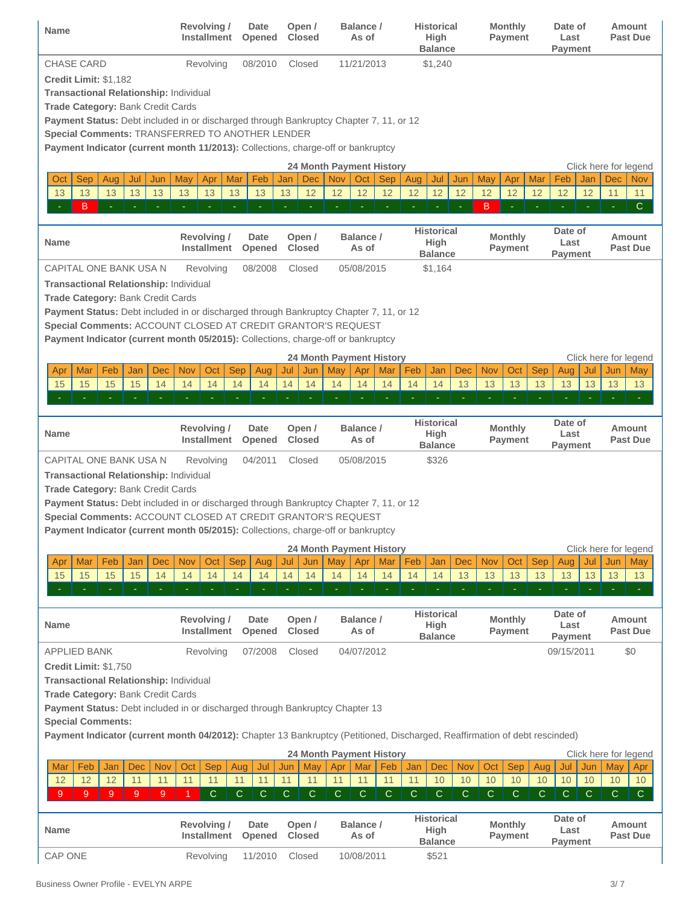| Name                                                                                                                                                   | <b>Revolving /</b><br><b>Installment</b> | Date<br>Opened        | Open /<br><b>Closed</b>    | Balance /<br>As of                                   | <b>Historical</b><br><b>High</b><br><b>Balance</b> | <b>Monthly</b><br>Payment        | Date of<br>Last<br>Payment                | Amount<br><b>Past Due</b>                         |
|--------------------------------------------------------------------------------------------------------------------------------------------------------|------------------------------------------|-----------------------|----------------------------|------------------------------------------------------|----------------------------------------------------|----------------------------------|-------------------------------------------|---------------------------------------------------|
| <b>CHASE CARD</b>                                                                                                                                      | Revolving                                | 08/2010               | Closed                     | 11/21/2013                                           | \$1,240                                            |                                  |                                           |                                                   |
| <b>Credit Limit: \$1,182</b>                                                                                                                           |                                          |                       |                            |                                                      |                                                    |                                  |                                           |                                                   |
| <b>Transactional Relationship: Individual</b>                                                                                                          |                                          |                       |                            |                                                      |                                                    |                                  |                                           |                                                   |
| <b>Trade Category: Bank Credit Cards</b>                                                                                                               |                                          |                       |                            |                                                      |                                                    |                                  |                                           |                                                   |
| Payment Status: Debt included in or discharged through Bankruptcy Chapter 7, 11, or 12<br>Special Comments: TRANSFERRED TO ANOTHER LENDER              |                                          |                       |                            |                                                      |                                                    |                                  |                                           |                                                   |
| Payment Indicator (current month 11/2013): Collections, charge-off or bankruptcy                                                                       |                                          |                       |                            |                                                      |                                                    |                                  |                                           |                                                   |
|                                                                                                                                                        |                                          |                       |                            | <b>24 Month Payment History</b>                      |                                                    |                                  |                                           |                                                   |
| <b>Sep</b><br>Aug<br>Jul<br>Oct<br>Jun                                                                                                                 | May<br>Apr<br>Mar                        | Feb                   | <b>Dec</b><br>Jan          | <b>Nov</b><br>Oct<br><b>Sep</b>                      | Aug<br>Jul<br>Jun                                  | May<br>Apr<br>Mar                | Feb<br>Jan                                | Click here for legend<br><b>Dec</b><br><b>Nov</b> |
| 13<br>13<br>13<br>13<br>13                                                                                                                             | 13<br>13<br>13                           | 13                    | 13<br>12                   | 12<br>12<br>12                                       | 12<br>12<br>12                                     | 12<br>12<br>12                   | 12<br>12                                  | 11<br>11                                          |
| B                                                                                                                                                      |                                          |                       | ä,                         |                                                      |                                                    | B                                |                                           | $\mathsf{C}$<br>$\bar{a}$                         |
|                                                                                                                                                        |                                          |                       |                            |                                                      |                                                    |                                  |                                           |                                                   |
| <b>Name</b>                                                                                                                                            | <b>Revolving /</b><br><b>Installment</b> | <b>Date</b><br>Opened | Open /<br><b>Closed</b>    | Balance /<br>As of                                   | <b>Historical</b><br><b>High</b><br><b>Balance</b> | <b>Monthly</b><br>Payment        | Date of<br>Last<br>Payment                | Amount<br><b>Past Due</b>                         |
| CAPITAL ONE BANK USA N                                                                                                                                 | Revolving                                | 08/2008               | Closed                     | 05/08/2015                                           | \$1,164                                            |                                  |                                           |                                                   |
| <b>Transactional Relationship: Individual</b>                                                                                                          |                                          |                       |                            |                                                      |                                                    |                                  |                                           |                                                   |
| <b>Trade Category: Bank Credit Cards</b>                                                                                                               |                                          |                       |                            |                                                      |                                                    |                                  |                                           |                                                   |
| Payment Status: Debt included in or discharged through Bankruptcy Chapter 7, 11, or 12                                                                 |                                          |                       |                            |                                                      |                                                    |                                  |                                           |                                                   |
| Special Comments: ACCOUNT CLOSED AT CREDIT GRANTOR'S REQUEST<br>Payment Indicator (current month 05/2015): Collections, charge-off or bankruptcy       |                                          |                       |                            |                                                      |                                                    |                                  |                                           |                                                   |
|                                                                                                                                                        |                                          |                       |                            |                                                      |                                                    |                                  |                                           |                                                   |
| Feb<br>Mar<br>Jan<br>Dec<br>Apr                                                                                                                        | Nov<br>Oct                               | <b>Sep</b><br>Aug     | Jun<br>Jul                 | <b>24 Month Payment History</b><br>May<br>Apr<br>Mar | Feb<br><b>Dec</b><br>Jan                           | <b>Sep</b><br><b>Nov</b><br>Oct  | Aug<br>Jul                                | Click here for legend<br>Jun<br>May               |
| 15<br>15<br>15<br>15<br>14                                                                                                                             | 14<br>14                                 | 14<br>14              | 14<br>14                   | 14<br>14<br>14                                       | 13<br>14<br>14                                     | 13<br>13<br>13                   | 13<br>13                                  | 13<br>13                                          |
|                                                                                                                                                        | $\bar{a}$<br>$\bar{\phantom{a}}$         | $\sim$<br>$\equiv$    | ä,                         |                                                      | ä,<br>$\bar{a}$                                    | $\sim$<br>$\sim$                 |                                           |                                                   |
|                                                                                                                                                        |                                          |                       |                            |                                                      |                                                    |                                  |                                           |                                                   |
| Name                                                                                                                                                   | <b>Revolving/</b><br><b>Installment</b>  | Date<br>Opened        | Open /<br><b>Closed</b>    | Balance /<br>As of                                   | <b>Historical</b><br><b>High</b><br><b>Balance</b> | <b>Monthly</b><br><b>Payment</b> | Date of<br>Last<br>Payment                | Amount<br><b>Past Due</b>                         |
| CAPITAL ONE BANK USA N                                                                                                                                 | Revolving                                | 04/2011               | Closed                     | 05/08/2015                                           | \$326                                              |                                  |                                           |                                                   |
| <b>Transactional Relationship: Individual</b>                                                                                                          |                                          |                       |                            |                                                      |                                                    |                                  |                                           |                                                   |
| Trade Category: Bank Credit Cards                                                                                                                      |                                          |                       |                            |                                                      |                                                    |                                  |                                           |                                                   |
| Payment Status: Debt included in or discharged through Bankruptcy Chapter 7, 11, or 12<br>Special Comments: ACCOUNT CLOSED AT CREDIT GRANTOR'S REQUEST |                                          |                       |                            |                                                      |                                                    |                                  |                                           |                                                   |
| Payment Indicator (current month 05/2015): Collections, charge-off or bankruptcy                                                                       |                                          |                       |                            |                                                      |                                                    |                                  |                                           |                                                   |
|                                                                                                                                                        |                                          |                       |                            | <b>24 Month Payment History</b>                      |                                                    |                                  |                                           | Click here for legend                             |
| Feb<br>Mar<br>Jan<br>Dec<br>Apr                                                                                                                        | <b>Nov</b><br>Oct                        | <b>Sep</b><br>Aug     | Jul<br>Jun                 | May<br>Apr<br>Mar                                    | Feb<br>Jan<br><b>Dec</b>                           | <b>Nov</b><br>Oct<br><b>Sep</b>  | Aug<br>Jul                                | Jun<br><b>May</b>                                 |
| 15<br>15<br>15<br>15<br>14                                                                                                                             | 14<br>14                                 | 14<br>14              | 14<br>14                   | 14<br>14<br>14                                       | 14<br>13<br>14                                     | 13<br>13<br>13                   | 13<br>13                                  | 13<br>13                                          |
| $\blacksquare$                                                                                                                                         |                                          |                       |                            |                                                      |                                                    | $\bar{\phantom{a}}$<br>÷         | $\equiv$<br>Ξ                             | $\equiv$                                          |
|                                                                                                                                                        |                                          |                       |                            |                                                      | <b>Historical</b>                                  |                                  | Date of                                   |                                                   |
| <b>Name</b>                                                                                                                                            | <b>Revolving/</b><br><b>Installment</b>  | <b>Date</b>           | Open /<br><b>Closed</b>    | Balance /<br>As of                                   | <b>High</b>                                        | <b>Monthly</b><br>Payment        | Last                                      | Amount<br><b>Past Due</b>                         |
|                                                                                                                                                        |                                          | Opened                |                            |                                                      | <b>Balance</b>                                     |                                  | Payment                                   |                                                   |
| APPLIED BANK                                                                                                                                           | Revolving                                | 07/2008               | Closed                     | 04/07/2012                                           |                                                    |                                  | 09/15/2011                                | \$0                                               |
| <b>Credit Limit: \$1,750</b>                                                                                                                           |                                          |                       |                            |                                                      |                                                    |                                  |                                           |                                                   |
| <b>Transactional Relationship: Individual</b><br>Trade Category: Bank Credit Cards                                                                     |                                          |                       |                            |                                                      |                                                    |                                  |                                           |                                                   |
| Payment Status: Debt included in or discharged through Bankruptcy Chapter 13                                                                           |                                          |                       |                            |                                                      |                                                    |                                  |                                           |                                                   |
| <b>Special Comments:</b>                                                                                                                               |                                          |                       |                            |                                                      |                                                    |                                  |                                           |                                                   |
| Payment Indicator (current month 04/2012): Chapter 13 Bankruptcy (Petitioned, Discharged, Reaffirmation of debt rescinded)                             |                                          |                       |                            |                                                      |                                                    |                                  |                                           |                                                   |
|                                                                                                                                                        |                                          |                       |                            | 24 Month Payment History                             |                                                    |                                  |                                           | Click here for legend                             |
| Mar<br>Feb<br>Jan<br>Dec<br><b>Nov</b>                                                                                                                 | Oct<br><b>Sep</b>                        | Aug<br>Jul            | Jun<br>May                 | Mar<br>Feb<br>Apr                                    | <b>Nov</b><br>Jan<br><b>Dec</b>                    | <b>Sep</b><br>Oct                | Aug<br>Jul<br>Jun                         | May<br>Apr                                        |
| 12<br>12<br>12<br>11<br>11                                                                                                                             | 11<br>11                                 | 11<br>11              | 11<br>11                   | 11<br>11<br>11                                       | 11<br>10<br>10                                     | 10<br>10                         | 10<br>10<br>10                            | 10<br>10                                          |
| 9<br>9<br>9<br>9<br>9                                                                                                                                  | C                                        | $\mathsf{C}$<br>С     | $\mathbf C$<br>$\mathbf C$ | $\mathbf C$<br>$\mathbf C$<br>$\mathbf C$            | $\mathbf C$<br>$\mathbf C$<br>C                    | C<br>C                           | $\mathsf C$<br>$\mathbf C$<br>$\mathbf C$ | $\mathsf{C}$<br>$\mathsf{C}$                      |
|                                                                                                                                                        |                                          |                       |                            |                                                      | <b>Historical</b>                                  |                                  | Date of                                   |                                                   |
| Name                                                                                                                                                   | <b>Revolving /</b><br><b>Installment</b> | Date<br>Opened        | Open /<br><b>Closed</b>    | Balance /<br>As of                                   | <b>High</b>                                        | <b>Monthly</b><br>Payment        | Last                                      | Amount<br><b>Past Due</b>                         |
|                                                                                                                                                        |                                          |                       |                            |                                                      | <b>Balance</b>                                     |                                  | Payment                                   |                                                   |
| <b>CAP ONE</b>                                                                                                                                         | Revolving                                | 11/2010               | Closed                     | 10/08/2011                                           | \$521                                              |                                  |                                           |                                                   |

Business Owner Profile - EVELYN ARPE 3/7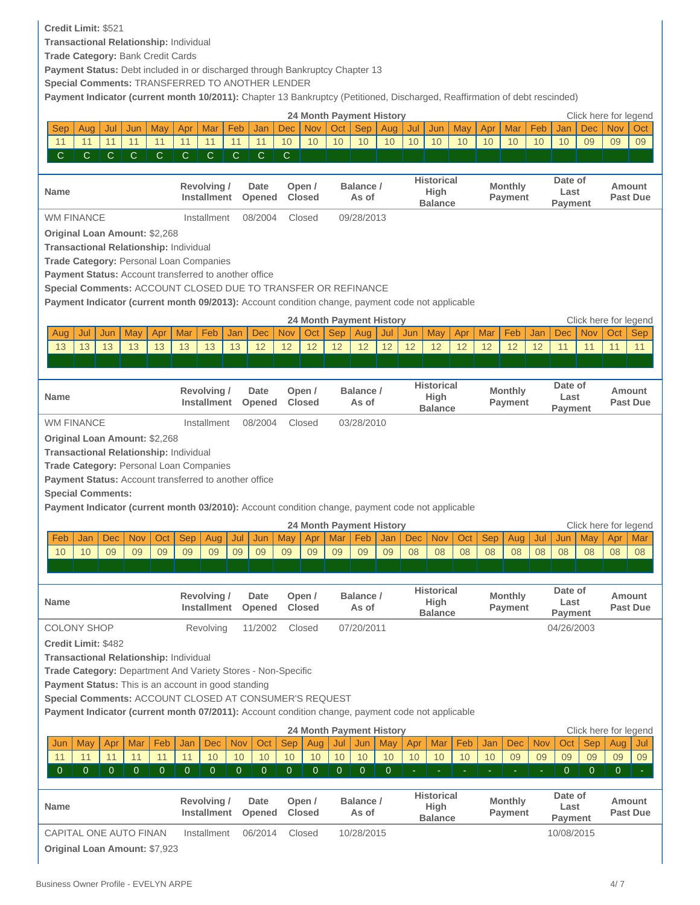# **Credit Limit:** \$521

**Transactional Relationship:** Individual

**Trade Category:** Bank Credit Cards

Payment Status: Debt included in or discharged through Bankruptcy Chapter 13

**Special Comments:** TRANSFERRED TO ANOTHER LENDER

**Payment Indicator (current month 10/2011):** Chapter 13 Bankruptcy (Petitioned, Discharged, Reaffirmation of debt rescinded)

|                                                                                                  |              |              |              |                           |              |                |                | <b>24 Month Payment History</b> |              |                    |     |            |                           |            |                                  |                |                 |              |              | Click here for legend     |
|--------------------------------------------------------------------------------------------------|--------------|--------------|--------------|---------------------------|--------------|----------------|----------------|---------------------------------|--------------|--------------------|-----|------------|---------------------------|------------|----------------------------------|----------------|-----------------|--------------|--------------|---------------------------|
| <b>Sep</b><br>Aug<br>Jul                                                                         | Jun          | May          | Apr          | Mar                       | Feb          | Jan            | <b>Dec</b>     | <b>Nov</b>                      | Oct          | <b>Sep</b>         | Aug | Jul        | May<br>Jun                | Apr        | Mar                              | Feb            | Jan             | Dec          | <b>Nov</b>   | Oct                       |
| 11<br>11<br>11                                                                                   | 11           | 11           | 11           | 11                        | 11           | 11             | 10             | 10                              | 10           | 10                 | 10  | 10         | 10<br>10                  | 10         | 10                               | 10             | 10              | 09           | 09           | 09                        |
| С<br>$\mathsf{C}$<br>$\mathsf{C}$                                                                | $\mathsf{C}$ | $\mathsf{C}$ | C            | $\mathsf{C}$              | $\mathsf{C}$ | $\mathsf{C}$   | $\mathsf{C}$   |                                 |              |                    |     |            |                           |            |                                  |                |                 |              |              |                           |
|                                                                                                  |              |              |              |                           |              |                |                |                                 |              |                    |     |            |                           |            |                                  |                |                 |              |              |                           |
| <b>Name</b>                                                                                      |              |              |              | Revolving/                |              | Date           |                | Open /                          |              | Balance /          |     |            | <b>Historical</b>         |            | <b>Monthly</b>                   |                | Date of         |              |              | Amount                    |
|                                                                                                  |              |              |              | <b>Installment</b>        |              | Opened         |                | <b>Closed</b>                   |              | As of              |     |            | High<br><b>Balance</b>    |            | <b>Payment</b>                   |                | Last<br>Payment |              |              | <b>Past Due</b>           |
| <b>WM FINANCE</b>                                                                                |              |              |              | Installment               |              | 08/2004        |                | Closed                          |              | 09/28/2013         |     |            |                           |            |                                  |                |                 |              |              |                           |
| <b>Original Loan Amount: \$2,268</b>                                                             |              |              |              |                           |              |                |                |                                 |              |                    |     |            |                           |            |                                  |                |                 |              |              |                           |
| Transactional Relationship: Individual                                                           |              |              |              |                           |              |                |                |                                 |              |                    |     |            |                           |            |                                  |                |                 |              |              |                           |
| <b>Trade Category: Personal Loan Companies</b>                                                   |              |              |              |                           |              |                |                |                                 |              |                    |     |            |                           |            |                                  |                |                 |              |              |                           |
| Payment Status: Account transferred to another office                                            |              |              |              |                           |              |                |                |                                 |              |                    |     |            |                           |            |                                  |                |                 |              |              |                           |
| Special Comments: ACCOUNT CLOSED DUE TO TRANSFER OR REFINANCE                                    |              |              |              |                           |              |                |                |                                 |              |                    |     |            |                           |            |                                  |                |                 |              |              |                           |
| Payment Indicator (current month 09/2013): Account condition change, payment code not applicable |              |              |              |                           |              |                |                |                                 |              |                    |     |            |                           |            |                                  |                |                 |              |              |                           |
|                                                                                                  |              |              |              |                           |              |                |                |                                 |              |                    |     |            |                           |            |                                  |                |                 |              |              |                           |
|                                                                                                  |              |              |              |                           |              |                |                | <b>24 Month Payment History</b> |              |                    |     |            |                           |            |                                  |                |                 |              |              | Click here for legend     |
| Jul<br>Jun<br>Aug                                                                                | May          | Apr          | Mar          | Feb                       | Jan          | <b>Dec</b>     | <b>Nov</b>     | Oct                             | <b>Sep</b>   | Aug                | Jul | Jun        | May<br>Apr                | Mar        | Feb                              | Jan            | <b>Dec</b>      | <b>Nov</b>   | Oct          | <b>Sep</b>                |
| 13<br>13<br>13                                                                                   | 13           | 13           | 13           | 13                        | 13           | 12             | 12             | 12                              | 12           | 12                 | 12  | 12         | 12<br>12                  | 12         | 12                               | 12             | 11              | 11           | 11           | 11                        |
|                                                                                                  |              |              |              |                           |              |                |                |                                 |              |                    |     |            |                           |            |                                  |                |                 |              |              |                           |
|                                                                                                  |              |              |              |                           |              |                |                |                                 |              |                    |     |            | <b>Historical</b>         |            |                                  |                | Date of         |              |              |                           |
| Name                                                                                             |              |              |              | Revolving/<br>Installment |              | Date<br>Opened |                | Open /<br><b>Closed</b>         |              | Balance /<br>As of |     |            | High                      |            | <b>Monthly</b><br><b>Payment</b> |                | Last            |              |              | Amount<br><b>Past Due</b> |
|                                                                                                  |              |              |              |                           |              |                |                |                                 |              |                    |     |            | <b>Balance</b>            |            |                                  |                | Payment         |              |              |                           |
| <b>WM FINANCE</b>                                                                                |              |              |              | Installment               |              | 08/2004        |                | Closed                          |              | 03/28/2010         |     |            |                           |            |                                  |                |                 |              |              |                           |
| <b>Original Loan Amount: \$2,268</b>                                                             |              |              |              |                           |              |                |                |                                 |              |                    |     |            |                           |            |                                  |                |                 |              |              |                           |
| Transactional Relationship: Individual                                                           |              |              |              |                           |              |                |                |                                 |              |                    |     |            |                           |            |                                  |                |                 |              |              |                           |
| Trade Category: Personal Loan Companies                                                          |              |              |              |                           |              |                |                |                                 |              |                    |     |            |                           |            |                                  |                |                 |              |              |                           |
|                                                                                                  |              |              |              |                           |              |                |                |                                 |              |                    |     |            |                           |            |                                  |                |                 |              |              |                           |
| Payment Status: Account transferred to another office                                            |              |              |              |                           |              |                |                |                                 |              |                    |     |            |                           |            |                                  |                |                 |              |              |                           |
| <b>Special Comments:</b>                                                                         |              |              |              |                           |              |                |                |                                 |              |                    |     |            |                           |            |                                  |                |                 |              |              |                           |
| Payment Indicator (current month 03/2010): Account condition change, payment code not applicable |              |              |              |                           |              |                |                |                                 |              |                    |     |            |                           |            |                                  |                |                 |              |              |                           |
|                                                                                                  |              |              |              |                           |              |                |                | <b>24 Month Payment History</b> |              |                    |     |            |                           |            |                                  |                |                 |              |              | Click here for legend     |
| Feb<br>Jan<br><b>Dec</b>                                                                         | <b>Nov</b>   | Oct          | <b>Sep</b>   | Aug                       | Jul          | Jun            | May            | Apr                             | Mar          | Feb                | Jan | <b>Dec</b> | <b>Nov</b><br>Oct         | <b>Sep</b> | Aug                              | Jul            | Jun             | May          | Apr          | Mar                       |
| 09<br>10<br>10                                                                                   | 09           | 09           | 09           | 09                        | 09           | 09             | 09             | 09                              | 09           | 09                 | 09  | 08         | 08<br>08                  | 08         | 08                               | 08             | 08              | 08           | 08           | 08                        |
|                                                                                                  |              |              |              |                           |              |                |                |                                 |              |                    |     |            |                           |            |                                  |                |                 |              |              |                           |
|                                                                                                  |              |              |              |                           |              |                |                |                                 |              |                    |     |            |                           |            |                                  |                |                 |              |              |                           |
|                                                                                                  |              |              |              | Revolving/                |              | Date           |                | Open /                          |              | Balance /          |     |            | <b>Historical</b>         |            | <b>Monthly</b>                   |                | Date of         |              |              | <b>Amount</b>             |
| <b>Name</b>                                                                                      |              |              |              | <b>Installment</b>        |              | Opened         |                | <b>Closed</b>                   |              | As of              |     |            | High                      |            | <b>Payment</b>                   |                | Last            |              |              | <b>Past Due</b>           |
|                                                                                                  |              |              |              |                           |              |                |                |                                 |              |                    |     |            | <b>Balance</b>            |            |                                  |                | Pavment         |              |              |                           |
| <b>COLONY SHOP</b>                                                                               |              |              |              | Revolving                 |              | 11/2002        |                | Closed                          |              | 07/20/2011         |     |            |                           |            |                                  |                | 04/26/2003      |              |              |                           |
| <b>Credit Limit: \$482</b>                                                                       |              |              |              |                           |              |                |                |                                 |              |                    |     |            |                           |            |                                  |                |                 |              |              |                           |
| <b>Transactional Relationship: Individual</b>                                                    |              |              |              |                           |              |                |                |                                 |              |                    |     |            |                           |            |                                  |                |                 |              |              |                           |
| Trade Category: Department And Variety Stores - Non-Specific                                     |              |              |              |                           |              |                |                |                                 |              |                    |     |            |                           |            |                                  |                |                 |              |              |                           |
| Payment Status: This is an account in good standing                                              |              |              |              |                           |              |                |                |                                 |              |                    |     |            |                           |            |                                  |                |                 |              |              |                           |
| Special Comments: ACCOUNT CLOSED AT CONSUMER'S REQUEST                                           |              |              |              |                           |              |                |                |                                 |              |                    |     |            |                           |            |                                  |                |                 |              |              |                           |
| Payment Indicator (current month 07/2011): Account condition change, payment code not applicable |              |              |              |                           |              |                |                |                                 |              |                    |     |            |                           |            |                                  |                |                 |              |              |                           |
|                                                                                                  |              |              |              |                           |              |                |                | <b>24 Month Payment History</b> |              |                    |     |            |                           |            |                                  |                |                 |              |              | Click here for legend     |
| <b>May</b><br>Apr<br>Jun                                                                         | Mar          | Feb          | Jan          | <b>Dec</b>                | <b>Nov</b>   | Oct            | <b>Sep</b>     | Aug                             | Jul          | Jun                | May | Apr        | Mar<br>Feb                | Jan        | Dec                              | <b>Nov</b>     | Oct             | <b>Sep</b>   | Aug          | Jul                       |
| 11<br>11<br>11                                                                                   | 11           | 11           | 11           | 10                        | 10           | 10             | 10             | 10                              | 10           | 10                 | 10  | 10         | 10<br>10                  | 10         | 09                               | 09             | 09              | 09           | 09           | 09                        |
| $\mathbf{0}$<br>$\mathbf{0}$<br>$\mathbf 0$                                                      | $\mathbf{0}$ | $\mathbf 0$  | $\mathbf{0}$ | $\mathbf 0$               | $\mathbf{0}$ | 0              | $\overline{0}$ | 0                               | $\mathbf{0}$ | $\mathbf{0}$       | 0   |            |                           |            |                                  | $\blacksquare$ | $\mathbf{0}$    | $\mathbf{0}$ | $\mathbf{0}$ |                           |
|                                                                                                  |              |              |              |                           |              |                |                |                                 |              |                    |     |            |                           |            |                                  |                |                 |              |              |                           |
| Name                                                                                             |              |              |              | <b>Revolving/</b>         |              | Date           |                | Open /                          |              | Balance /          |     |            | <b>Historical</b><br>High |            | <b>Monthly</b>                   |                | Date of<br>Last |              |              | Amount                    |
|                                                                                                  |              |              |              | <b>Installment</b>        |              | Opened         |                | <b>Closed</b>                   |              | As of              |     |            | <b>Balance</b>            |            | <b>Payment</b>                   |                | <b>Payment</b>  |              |              | <b>Past Due</b>           |

**Original Loan Amount:** \$7,923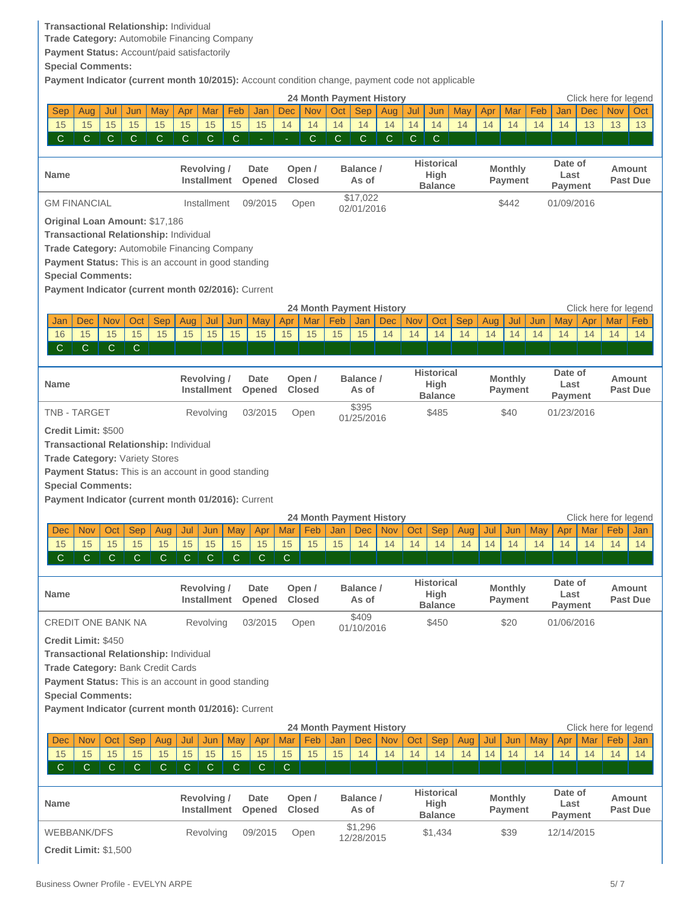### **Transactional Relationship:** Individual

**Trade Category:** Automobile Financing Company

**Payment Status:** Account/paid satisfactorily

**Special Comments:**

**Payment Indicator (current month 10/2015):** Account condition change, payment code not applicable

|                                                     |              |              |              |              |              |                                   |              |                |              |                         |     | <b>24 Month Payment History</b>        |            |            |                           |            |     |                |     |                 |            | Click here for legend |                           |
|-----------------------------------------------------|--------------|--------------|--------------|--------------|--------------|-----------------------------------|--------------|----------------|--------------|-------------------------|-----|----------------------------------------|------------|------------|---------------------------|------------|-----|----------------|-----|-----------------|------------|-----------------------|---------------------------|
| <b>Sep</b>                                          | Aug          | Jul          | Jun          | May          | Apr          | Mar                               | Feb          | Jan            | <b>Dec</b>   | <b>Nov</b>              | Oct | <b>Sep</b>                             | Aug        | Jul        | Jun                       | May        | Apr | Mar            | Feb | Jan             | <b>Dec</b> | <b>Nov</b>            | Oct                       |
| 15                                                  | 15           | 15           | 15           | 15           | 15           | 15                                | 15           | 15             | 14           | 14                      | 14  | 14                                     | 14         | 14         | 14                        | 14         | 14  | 14             | 14  | 14              | 13         | 13                    | 13                        |
| $\mathsf{C}$                                        | C.           | C            | $\mathsf{C}$ | C            | C            | $\mathbf C$                       | C            | $\equiv$       | ÷.           | $\mathsf{C}$            | C.  | C.                                     | C.         | С          | C                         |            |     |                |     |                 |            |                       |                           |
|                                                     |              |              |              |              |              |                                   |              |                |              |                         |     |                                        |            |            |                           |            |     |                |     |                 |            |                       |                           |
| <b>Name</b>                                         |              |              |              |              |              | Revolving/                        |              | Date           |              | Open /                  |     | Balance /                              |            |            | <b>Historical</b><br>High |            |     | <b>Monthly</b> |     | Date of<br>Last |            |                       | <b>Amount</b>             |
|                                                     |              |              |              |              |              | <b>Installment</b>                |              | Opened         |              | <b>Closed</b>           |     | As of                                  |            |            | <b>Balance</b>            |            |     | <b>Payment</b> |     | <b>Payment</b>  |            |                       | <b>Past Due</b>           |
| <b>GM FINANCIAL</b>                                 |              |              |              |              |              | Installment                       |              | 09/2015        |              | Open                    |     | \$17,022                               |            |            |                           |            |     | \$442          |     | 01/09/2016      |            |                       |                           |
|                                                     |              |              |              |              |              |                                   |              |                |              |                         |     | 02/01/2016                             |            |            |                           |            |     |                |     |                 |            |                       |                           |
| Original Loan Amount: \$17,186                      |              |              |              |              |              |                                   |              |                |              |                         |     |                                        |            |            |                           |            |     |                |     |                 |            |                       |                           |
| Transactional Relationship: Individual              |              |              |              |              |              |                                   |              |                |              |                         |     |                                        |            |            |                           |            |     |                |     |                 |            |                       |                           |
| Trade Category: Automobile Financing Company        |              |              |              |              |              |                                   |              |                |              |                         |     |                                        |            |            |                           |            |     |                |     |                 |            |                       |                           |
| Payment Status: This is an account in good standing |              |              |              |              |              |                                   |              |                |              |                         |     |                                        |            |            |                           |            |     |                |     |                 |            |                       |                           |
| <b>Special Comments:</b>                            |              |              |              |              |              |                                   |              |                |              |                         |     |                                        |            |            |                           |            |     |                |     |                 |            |                       |                           |
| Payment Indicator (current month 02/2016): Current  |              |              |              |              |              |                                   |              |                |              |                         |     |                                        |            |            |                           |            |     |                |     |                 |            |                       |                           |
|                                                     |              |              |              |              |              |                                   |              |                |              |                         |     | <b>24 Month Payment History</b>        |            |            |                           |            |     |                |     |                 |            | Click here for legend |                           |
| Jan                                                 | Dec          | <b>Nov</b>   | Oct          | <b>Sep</b>   | Aug          | Jul                               | Jun          | May            | Apr          | Mar                     | Feb | Jan                                    | <b>Dec</b> | <b>Nov</b> | Oct                       | <b>Sep</b> | Aug | Jul            | Jun | May             | Apr        | Mar                   | Feb                       |
| 16                                                  | 15           | 15           | 15           | 15           | 15           | 15                                | 15           | 15             | 15           | 15                      | 15  | 15                                     | 14         | 14         | 14                        | 14         | 14  | 14             | 14  | 14              | 14         | 14                    | 14                        |
| $\mathbf C$                                         | C            | $\mathsf{C}$ | $\mathsf{C}$ |              |              |                                   |              |                |              |                         |     |                                        |            |            |                           |            |     |                |     |                 |            |                       |                           |
|                                                     |              |              |              |              |              |                                   |              |                |              |                         |     |                                        |            |            |                           |            |     |                |     |                 |            |                       |                           |
|                                                     |              |              |              |              |              | Revolving/                        |              | Date           |              | Open /                  |     | Balance /                              |            |            | <b>Historical</b>         |            |     | <b>Monthly</b> |     | Date of         |            |                       | Amount                    |
| <b>Name</b>                                         |              |              |              |              |              | Installment                       |              | Opened         |              | <b>Closed</b>           |     | As of                                  |            |            | High<br><b>Balance</b>    |            |     | <b>Payment</b> |     | Last<br>Payment |            |                       | <b>Past Due</b>           |
| <b>TNB - TARGET</b>                                 |              |              |              |              |              |                                   |              |                |              |                         |     | \$395                                  |            |            |                           |            |     |                |     |                 |            |                       |                           |
|                                                     |              |              |              |              |              | Revolving                         |              | 03/2015        |              | Open                    |     | 01/25/2016                             |            |            | \$485                     |            |     | \$40           |     | 01/23/2016      |            |                       |                           |
| <b>Credit Limit: \$500</b>                          |              |              |              |              |              |                                   |              |                |              |                         |     |                                        |            |            |                           |            |     |                |     |                 |            |                       |                           |
| <b>Transactional Relationship: Individual</b>       |              |              |              |              |              |                                   |              |                |              |                         |     |                                        |            |            |                           |            |     |                |     |                 |            |                       |                           |
| <b>Trade Category: Variety Stores</b>               |              |              |              |              |              |                                   |              |                |              |                         |     |                                        |            |            |                           |            |     |                |     |                 |            |                       |                           |
| Payment Status: This is an account in good standing |              |              |              |              |              |                                   |              |                |              |                         |     |                                        |            |            |                           |            |     |                |     |                 |            |                       |                           |
| <b>Special Comments:</b>                            |              |              |              |              |              |                                   |              |                |              |                         |     |                                        |            |            |                           |            |     |                |     |                 |            |                       |                           |
| Payment Indicator (current month 01/2016): Current  |              |              |              |              |              |                                   |              |                |              |                         |     |                                        |            |            |                           |            |     |                |     |                 |            |                       |                           |
|                                                     |              |              |              |              |              |                                   |              |                |              |                         |     |                                        |            |            |                           |            |     |                |     |                 |            |                       |                           |
|                                                     |              |              |              |              |              |                                   |              |                |              |                         |     | <b>24 Month Payment History</b>        |            |            |                           |            |     |                |     |                 |            | Click here for legend |                           |
| Dec                                                 | <b>Nov</b>   | Oct          | Sep          | Aug          | Jul          | Jun                               | May          | Apr            | Mar          | Feb                     | Jan | <b>Dec</b>                             | Nov        | Oct        | <b>Sep</b>                | Aug        | Jul | Jun            | May | Apr             | Mar        | Feb                   | Jan                       |
| 15                                                  | 15           | 15           | 15           | 15           | 15           | 15                                | 15           | 15             | 15           | 15                      | 15  | 14                                     | 14         | 14         | 14                        | 14         | 14  | 14             | 14  | 14              | 14         | 14                    | 14                        |
| $\mathsf{C}$                                        | $\mathsf{C}$ | $\mathsf{C}$ | $\mathsf{C}$ | C            | $\mathbf C$  | C                                 | C            | $\mathsf{C}$   | $\mathsf{C}$ |                         |     |                                        |            |            |                           |            |     |                |     |                 |            |                       |                           |
|                                                     |              |              |              |              |              |                                   |              |                |              |                         |     |                                        |            |            |                           |            |     |                |     |                 |            |                       |                           |
|                                                     |              |              |              |              |              | Revolving/                        |              | Date           |              | Open /                  |     | Balance /                              |            |            | <b>Historical</b>         |            |     | <b>Monthly</b> |     | Date of         |            |                       | Amount                    |
| <b>Name</b>                                         |              |              |              |              |              | <b>Installment</b>                |              | Opened         |              | <b>Closed</b>           |     | As of                                  |            |            | High                      |            |     | <b>Payment</b> |     | Last            |            |                       | <b>Past Due</b>           |
|                                                     |              |              |              |              |              |                                   |              |                |              |                         |     | \$409                                  |            |            | <b>Balance</b>            |            |     |                |     | Payment         |            |                       |                           |
| <b>CREDIT ONE BANK NA</b>                           |              |              |              |              |              | Revolving                         |              | 03/2015        |              | Open                    |     | 01/10/2016                             |            |            | \$450                     |            |     | \$20           |     | 01/06/2016      |            |                       |                           |
| <b>Credit Limit: \$450</b>                          |              |              |              |              |              |                                   |              |                |              |                         |     |                                        |            |            |                           |            |     |                |     |                 |            |                       |                           |
| Transactional Relationship: Individual              |              |              |              |              |              |                                   |              |                |              |                         |     |                                        |            |            |                           |            |     |                |     |                 |            |                       |                           |
| Trade Category: Bank Credit Cards                   |              |              |              |              |              |                                   |              |                |              |                         |     |                                        |            |            |                           |            |     |                |     |                 |            |                       |                           |
| Payment Status: This is an account in good standing |              |              |              |              |              |                                   |              |                |              |                         |     |                                        |            |            |                           |            |     |                |     |                 |            |                       |                           |
| <b>Special Comments:</b>                            |              |              |              |              |              |                                   |              |                |              |                         |     |                                        |            |            |                           |            |     |                |     |                 |            |                       |                           |
| Payment Indicator (current month 01/2016): Current  |              |              |              |              |              |                                   |              |                |              |                         |     |                                        |            |            |                           |            |     |                |     |                 |            |                       |                           |
|                                                     |              |              |              |              |              |                                   |              |                |              |                         |     |                                        |            |            |                           |            |     |                |     |                 |            | Click here for legend |                           |
| <b>Dec</b>                                          | <b>Nov</b>   | Oct          | <b>Sep</b>   | Aug          | Jul          | Jun                               | May          | Apr            | Mar          | Feb                     | Jan | 24 Month Payment History<br><b>Dec</b> | <b>Nov</b> | Oct        | <b>Sep</b>                | Aug        | Jul | Jun            | May | Apr             | Mar        | Feb                   | Jan                       |
| 15                                                  | 15           | 15           | 15           | 15           | 15           | 15                                | 15           | 15             | 15           | 15                      | 15  | 14                                     | 14         | 14         | 14                        | 14         | 14  | 14             | 14  | 14              | 14         | 14                    | 14                        |
| $\mathsf{C}$                                        | $\mathsf{C}$ | $\mathsf{C}$ | $\mathsf{C}$ | $\mathsf{C}$ | $\mathsf{C}$ | $\mathsf{C}$                      | $\mathsf{C}$ | $\mathsf{C}$   | $\mathsf{C}$ |                         |     |                                        |            |            |                           |            |     |                |     |                 |            |                       |                           |
|                                                     |              |              |              |              |              |                                   |              |                |              |                         |     |                                        |            |            |                           |            |     |                |     |                 |            |                       |                           |
|                                                     |              |              |              |              |              |                                   |              |                |              |                         |     |                                        |            |            | <b>Historical</b>         |            |     |                |     | Date of         |            |                       |                           |
| <b>Name</b>                                         |              |              |              |              |              | Revolving /<br><b>Installment</b> |              | Date<br>Opened |              | Open /<br><b>Closed</b> |     | Balance /<br>As of                     |            |            | <b>High</b>               |            |     | <b>Monthly</b> |     | Last            |            |                       | Amount<br><b>Past Due</b> |
|                                                     |              |              |              |              |              |                                   |              |                |              |                         |     |                                        |            |            | <b>Balance</b>            |            |     | Payment        |     | <b>Payment</b>  |            |                       |                           |
| <b>WEBBANK/DFS</b>                                  |              |              |              |              |              | Revolving                         |              | 09/2015        |              | Open                    |     | $\overline{$}1,296$                    |            |            | \$1,434                   |            |     | \$39           |     | 12/14/2015      |            |                       |                           |
| Credit Limit: \$1,500                               |              |              |              |              |              |                                   |              |                |              |                         |     | 12/28/2015                             |            |            |                           |            |     |                |     |                 |            |                       |                           |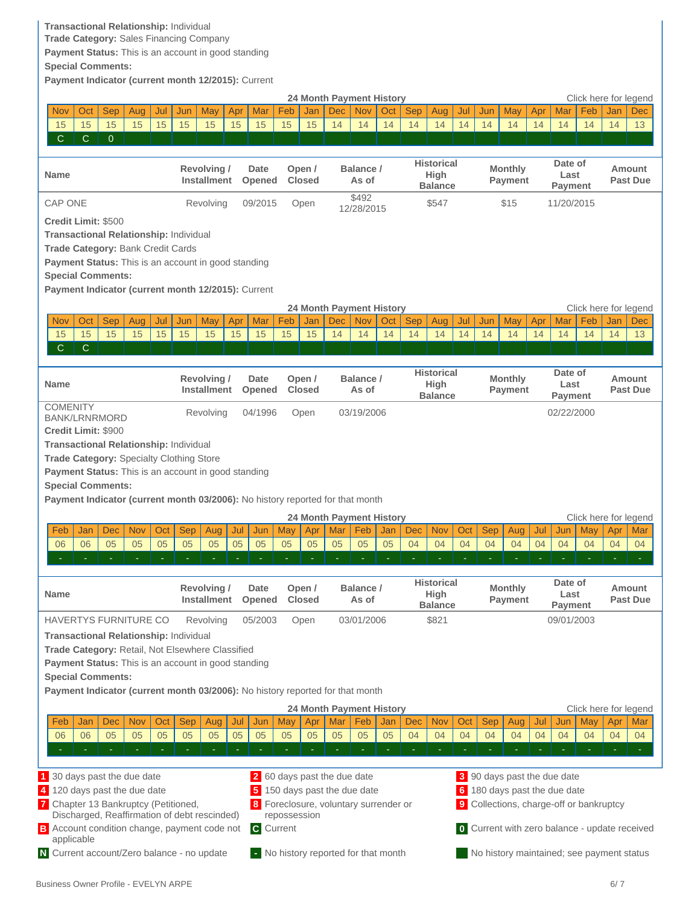# **Transactional Relationship:** Individual

**Trade Category:** Sales Financing Company

**Payment Status:** This is an account in good standing

**Special Comments:**

**Payment Indicator (current month 12/2015):** Current

<span id="page-5-0"></span>

|                                                                               |                                                          |              |            |     |                                         |             |     |                                           |                                   |               | <b>24 Month Payment History</b>     |            |     |                                             |                   |     |                                  |                                           |     |                            |     | Click here for legend |                                                      |
|-------------------------------------------------------------------------------|----------------------------------------------------------|--------------|------------|-----|-----------------------------------------|-------------|-----|-------------------------------------------|-----------------------------------|---------------|-------------------------------------|------------|-----|---------------------------------------------|-------------------|-----|----------------------------------|-------------------------------------------|-----|----------------------------|-----|-----------------------|------------------------------------------------------|
| <b>Nov</b>                                                                    | Oct                                                      | Sep          | Aug        | Jul | Jun                                     | May         | Apr | Mar                                       | Feb                               | Jan           | <b>Dec</b>                          | Nov        | Oct | <b>Sep</b>                                  | Aug               | Jul | Jun                              | May                                       | Apr | Mar                        | Feb | Jan                   | <b>Dec</b>                                           |
| 15                                                                            | 15                                                       | 15           | 15         | 15  | 15                                      | 15          | 15  | 15                                        | 15                                | 15            | 14                                  | 14         | 14  | 14                                          | 14                | 14  | 14                               | 14                                        | 14  | 14                         | 14  | 14                    | 13                                                   |
| $\mathsf{C}$                                                                  | $\mathsf{C}$                                             | $\mathbf{0}$ |            |     |                                         |             |     |                                           |                                   |               |                                     |            |     |                                             |                   |     |                                  |                                           |     |                            |     |                       |                                                      |
| <b>Name</b>                                                                   |                                                          |              |            |     | Revolving/<br>Installment               |             |     | Date                                      | Open /<br><b>Closed</b><br>Opened |               | Balance /<br>As of                  |            |     | <b>Historical</b><br>High<br><b>Balance</b> |                   |     | <b>Monthly</b><br>Payment        |                                           |     | Date of<br>Last<br>Payment |     |                       | <b>Amount</b><br><b>Past Due</b>                     |
| <b>CAP ONE</b>                                                                |                                                          |              |            |     |                                         | Revolving   |     | 09/2015                                   |                                   | Open          |                                     | \$492      |     |                                             | \$547             |     |                                  | \$15                                      |     | 11/20/2015                 |     |                       |                                                      |
| <b>Credit Limit: \$500</b>                                                    |                                                          |              |            |     |                                         |             |     |                                           |                                   |               |                                     | 12/28/2015 |     |                                             |                   |     |                                  |                                           |     |                            |     |                       |                                                      |
| <b>Transactional Relationship: Individual</b>                                 |                                                          |              |            |     |                                         |             |     |                                           |                                   |               |                                     |            |     |                                             |                   |     |                                  |                                           |     |                            |     |                       |                                                      |
| Trade Category: Bank Credit Cards                                             |                                                          |              |            |     |                                         |             |     |                                           |                                   |               |                                     |            |     |                                             |                   |     |                                  |                                           |     |                            |     |                       |                                                      |
| Payment Status: This is an account in good standing                           |                                                          |              |            |     |                                         |             |     |                                           |                                   |               |                                     |            |     |                                             |                   |     |                                  |                                           |     |                            |     |                       |                                                      |
| <b>Special Comments:</b>                                                      |                                                          |              |            |     |                                         |             |     |                                           |                                   |               |                                     |            |     |                                             |                   |     |                                  |                                           |     |                            |     |                       |                                                      |
|                                                                               | Payment Indicator (current month 12/2015): Current       |              |            |     |                                         |             |     |                                           |                                   |               |                                     |            |     |                                             |                   |     |                                  |                                           |     |                            |     |                       |                                                      |
|                                                                               | <b>24 Month Payment History</b><br>Click here for legend |              |            |     |                                         |             |     |                                           |                                   |               |                                     |            |     |                                             |                   |     |                                  |                                           |     |                            |     |                       |                                                      |
| <b>Nov</b>                                                                    | Oct                                                      | Sep          | Aug        | Jul | Jun                                     | May         | Apr | Mar                                       | Feb                               | Jan           | <b>Dec</b>                          | <b>Nov</b> | Oct | <b>Sep</b>                                  | Aug               | Jul | Jun                              | May                                       | Apr | Mar                        | Feb | Jan                   | Dec                                                  |
| 15                                                                            | 15                                                       | 15           | 15         | 15  | 15                                      | 15          | 15  | 15                                        | 15                                | 15            | 14                                  | 14         | 14  | 14                                          | 14                | 14  | 14                               | 14                                        | 14  | 14                         | 14  | 14                    | 13                                                   |
| $\mathbf C$                                                                   | $\mathsf{C}$                                             |              |            |     |                                         |             |     |                                           |                                   |               |                                     |            |     |                                             |                   |     |                                  |                                           |     |                            |     |                       |                                                      |
|                                                                               |                                                          |              |            |     |                                         |             |     |                                           |                                   |               |                                     |            |     |                                             |                   |     |                                  |                                           |     |                            |     |                       |                                                      |
| <b>Name</b>                                                                   |                                                          |              |            |     | <b>Revolving/</b><br><b>Installment</b> |             |     | Date<br>Open /<br><b>Closed</b><br>Opened |                                   |               | Balance /<br>As of                  |            |     | <b>Historical</b><br>High<br><b>Balance</b> |                   |     | <b>Monthly</b><br><b>Payment</b> |                                           |     | Date of<br>Last<br>Payment |     |                       | Amount<br><b>Past Due</b>                            |
| <b>COMENITY</b><br><b>BANK/LRNRMORD</b><br><b>Credit Limit: \$900</b>         |                                                          |              |            |     |                                         | Revolving   |     | 04/1996                                   |                                   | Open          |                                     | 03/19/2006 |     |                                             |                   |     |                                  |                                           |     | 02/22/2000                 |     |                       |                                                      |
| <b>Transactional Relationship: Individual</b>                                 |                                                          |              |            |     |                                         |             |     |                                           |                                   |               |                                     |            |     |                                             |                   |     |                                  |                                           |     |                            |     |                       |                                                      |
| Trade Category: Specialty Clothing Store                                      |                                                          |              |            |     |                                         |             |     |                                           |                                   |               |                                     |            |     |                                             |                   |     |                                  |                                           |     |                            |     |                       |                                                      |
| Payment Status: This is an account in good standing                           |                                                          |              |            |     |                                         |             |     |                                           |                                   |               |                                     |            |     |                                             |                   |     |                                  |                                           |     |                            |     |                       |                                                      |
| <b>Special Comments:</b>                                                      |                                                          |              |            |     |                                         |             |     |                                           |                                   |               |                                     |            |     |                                             |                   |     |                                  |                                           |     |                            |     |                       |                                                      |
|                                                                               |                                                          |              |            |     |                                         |             |     |                                           |                                   |               |                                     |            |     |                                             |                   |     |                                  |                                           |     |                            |     |                       |                                                      |
|                                                                               |                                                          |              |            |     |                                         |             |     |                                           |                                   |               |                                     |            |     |                                             |                   |     |                                  |                                           |     |                            |     |                       |                                                      |
| Payment Indicator (current month 03/2006): No history reported for that month |                                                          |              |            |     |                                         |             |     |                                           |                                   |               |                                     |            |     |                                             |                   |     |                                  |                                           |     |                            |     |                       |                                                      |
|                                                                               |                                                          |              |            |     |                                         |             |     |                                           |                                   |               | <b>24 Month Payment History</b>     |            |     |                                             |                   |     |                                  |                                           |     |                            |     |                       | Click here for legend                                |
| Feb                                                                           | Jan                                                      | <b>Dec</b>   | <b>Nov</b> | Oct | Sep                                     | Aug         | Jul | Jun                                       | May                               | Apr           | Mar                                 | Feb        | Jan | <b>Dec</b>                                  | <b>Nov</b>        | Oct | Sep                              | Aug                                       | Jul | Jun                        | May | Apr                   | Mar                                                  |
| 06                                                                            | 06                                                       | 05           | 05         | 05  | 05                                      | 05          | 05  | 05                                        | 05                                | 05            | 05                                  | 05         | 05  | 04                                          | 04                | 04  | 04                               | 04                                        | 04  | 04                         | 04  | 04                    | 04                                                   |
|                                                                               |                                                          |              |            |     |                                         |             |     |                                           |                                   |               |                                     |            |     |                                             |                   |     |                                  |                                           |     |                            |     |                       |                                                      |
|                                                                               |                                                          |              |            |     |                                         |             |     |                                           |                                   |               |                                     |            |     |                                             | <b>Historical</b> |     |                                  |                                           |     | Date of                    |     |                       |                                                      |
| <b>Name</b>                                                                   |                                                          |              |            |     |                                         | Revolving/  |     | Date                                      |                                   | Open /        |                                     | Balance /  |     |                                             | High              |     |                                  | Monthly                                   |     | Last                       |     |                       | Amount                                               |
|                                                                               |                                                          |              |            |     |                                         | Installment |     | Opened                                    |                                   | <b>Closed</b> |                                     | As of      |     |                                             | <b>Balance</b>    |     |                                  | Payment                                   |     | <b>Payment</b>             |     |                       | Past Due                                             |
| <b>HAVERTYS FURNITURE CO</b>                                                  |                                                          |              |            |     |                                         | Revolving   |     | 05/2003                                   |                                   | Open          |                                     | 03/01/2006 |     |                                             | \$821             |     |                                  |                                           |     | 09/01/2003                 |     |                       |                                                      |
| <b>Transactional Relationship: Individual</b>                                 |                                                          |              |            |     |                                         |             |     |                                           |                                   |               |                                     |            |     |                                             |                   |     |                                  |                                           |     |                            |     |                       |                                                      |
| Trade Category: Retail, Not Elsewhere Classified                              |                                                          |              |            |     |                                         |             |     |                                           |                                   |               |                                     |            |     |                                             |                   |     |                                  |                                           |     |                            |     |                       |                                                      |
| Payment Status: This is an account in good standing                           |                                                          |              |            |     |                                         |             |     |                                           |                                   |               |                                     |            |     |                                             |                   |     |                                  |                                           |     |                            |     |                       |                                                      |
| <b>Special Comments:</b>                                                      |                                                          |              |            |     |                                         |             |     |                                           |                                   |               |                                     |            |     |                                             |                   |     |                                  |                                           |     |                            |     |                       |                                                      |
| Payment Indicator (current month 03/2006): No history reported for that month |                                                          |              |            |     |                                         |             |     |                                           |                                   |               |                                     |            |     |                                             |                   |     |                                  |                                           |     |                            |     |                       |                                                      |
|                                                                               |                                                          |              |            |     |                                         |             |     |                                           |                                   |               | 24 Month Payment History            |            |     |                                             |                   |     |                                  |                                           |     |                            |     |                       | Click here for legend                                |
| Feb                                                                           | Jan                                                      | Dec          | <b>Nov</b> | Oct | <b>Sep</b>                              | Aug         | Jul | Jun                                       | May                               | Apr           | Mar                                 | Feb        | Jan | <b>Dec</b>                                  | <b>Nov</b>        | Oct | <b>Sep</b>                       | Aug                                       | Jul | Jun                        | May | Apr                   | Mar                                                  |
| 06                                                                            | 06                                                       | 05           | 05         | 05  | 05                                      | 05          | 05  | 05                                        | 05                                | 05            | 05                                  | 05         | 05  | 04                                          | 04                | 04  | 04                               | 04                                        | 04  | 04                         | 04  | 04                    | 04                                                   |
|                                                                               |                                                          |              |            |     |                                         |             |     |                                           |                                   |               |                                     |            |     |                                             |                   |     |                                  |                                           |     |                            |     |                       |                                                      |
|                                                                               |                                                          |              |            |     |                                         |             |     |                                           |                                   |               |                                     |            |     |                                             |                   |     |                                  |                                           |     |                            |     |                       |                                                      |
| 30 days past the due date                                                     |                                                          |              |            |     |                                         |             |     |                                           |                                   |               | 2 60 days past the due date         |            |     |                                             |                   |     |                                  | 3 90 days past the due date               |     |                            |     |                       |                                                      |
| 4 120 days past the due date                                                  |                                                          |              |            |     |                                         |             |     |                                           |                                   |               | 150 days past the due date          |            |     |                                             |                   |     |                                  | 6 180 days past the due date              |     |                            |     |                       |                                                      |
| 7 Chapter 13 Bankruptcy (Petitioned,                                          |                                                          |              |            |     |                                         |             |     |                                           |                                   |               | Foreclosure, voluntary surrender or |            |     |                                             |                   |     |                                  | 9 Collections, charge-off or bankruptcy   |     |                            |     |                       |                                                      |
| Discharged, Reaffirmation of debt rescinded)                                  |                                                          |              |            |     |                                         |             |     |                                           | repossession                      |               |                                     |            |     |                                             |                   |     |                                  |                                           |     |                            |     |                       |                                                      |
| <b>B</b> Account condition change, payment code not                           |                                                          |              |            |     |                                         |             |     | <b>C</b> Current                          |                                   |               |                                     |            |     |                                             |                   |     |                                  |                                           |     |                            |     |                       | <b>0</b> Current with zero balance - update received |
| applicable<br>N Current account/Zero balance - no update                      |                                                          |              |            |     |                                         |             |     |                                           |                                   |               | No history reported for that month  |            |     |                                             |                   |     |                                  | No history maintained; see payment status |     |                            |     |                       |                                                      |